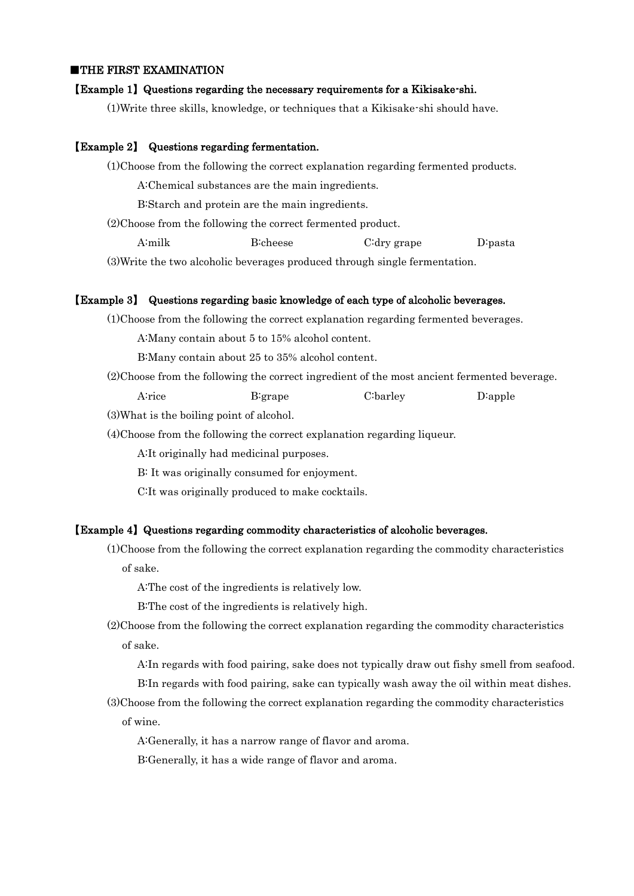## ■THE FIRST EXAMINATION

### 【Example 1】Questions regarding the necessary requirements for a Kikisake-shi.

(1)Write three skills, knowledge, or techniques that a Kikisake-shi should have.

### 【Example 2】 Questions regarding fermentation.

(1)Choose from the following the correct explanation regarding fermented products.

A:Chemical substances are the main ingredients.

B:Starch and protein are the main ingredients.

(2)Choose from the following the correct fermented product.

A:milk B:cheese C:dry grape D:pasta

(3)Write the two alcoholic beverages produced through single fermentation.

#### 【Example 3】 Questions regarding basic knowledge of each type of alcoholic beverages.

(1)Choose from the following the correct explanation regarding fermented beverages.

A:Many contain about 5 to 15% alcohol content.

B:Many contain about 25 to 35% alcohol content.

(2)Choose from the following the correct ingredient of the most ancient fermented beverage.

A:rice B:grape C:barley D:apple

(3)What is the boiling point of alcohol.

(4)Choose from the following the correct explanation regarding liqueur.

A:It originally had medicinal purposes.

B: It was originally consumed for enjoyment.

C:It was originally produced to make cocktails.

#### 【Example 4】Questions regarding commodity characteristics of alcoholic beverages.

(1)Choose from the following the correct explanation regarding the commodity characteristics of sake.

A:The cost of the ingredients is relatively low.

B:The cost of the ingredients is relatively high.

(2)Choose from the following the correct explanation regarding the commodity characteristics of sake.

A:In regards with food pairing, sake does not typically draw out fishy smell from seafood.

B:In regards with food pairing, sake can typically wash away the oil within meat dishes.

(3)Choose from the following the correct explanation regarding the commodity characteristics of wine.

A:Generally, it has a narrow range of flavor and aroma.

B:Generally, it has a wide range of flavor and aroma.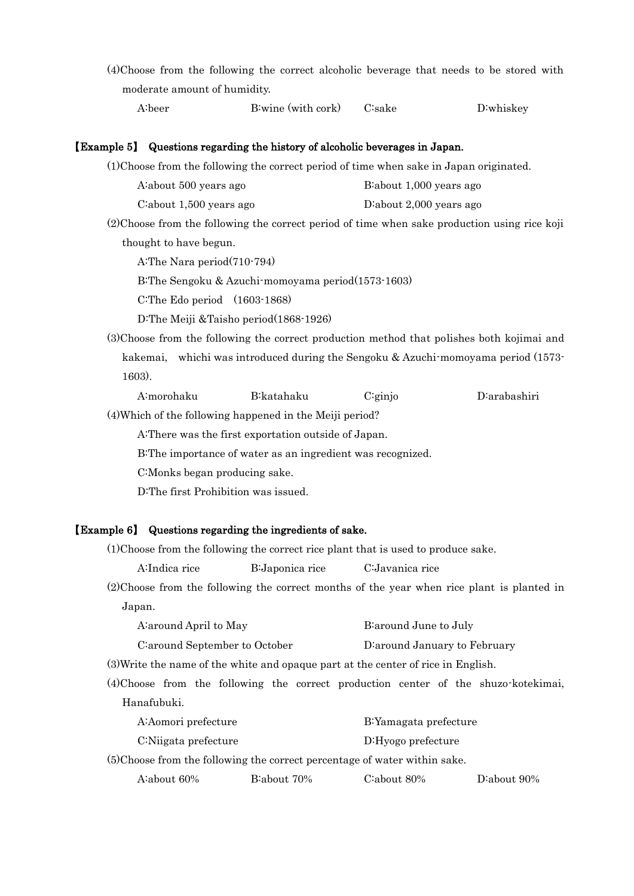(4)Choose from the following the correct alcoholic beverage that needs to be stored with moderate amount of humidity.

## 【Example 5】 Questions regarding the history of alcoholic beverages in Japan.

(1)Choose from the following the correct period of time when sake in Japan originated.

| B about 1,000 years ago |
|-------------------------|
|                         |

| C:about $1,500$ years ago | D:about $2,000$ years ago |
|---------------------------|---------------------------|
|---------------------------|---------------------------|

(2)Choose from the following the correct period of time when sake production using rice koji thought to have begun.

A:The Nara period(710-794)

B:The Sengoku & Azuchi-momoyama period(1573-1603)

C:The Edo period (1603-1868)

D:The Meiji &Taisho period(1868-1926)

(3)Choose from the following the correct production method that polishes both kojimai and kakemai, whichi was introduced during the Sengoku & Azuchi-momoyama period (1573- 1603).

| D:arabashiri<br>$C$ : ginjo<br>B:katahaku<br>A:morohaku |
|---------------------------------------------------------|
|---------------------------------------------------------|

(4)Which of the following happened in the Meiji period?

A:There was the first exportation outside of Japan.

B:The importance of water as an ingredient was recognized.

C:Monks began producing sake.

D:The first Prohibition was issued.

# 【Example 6】 Questions regarding the ingredients of sake.

(1)Choose from the following the correct rice plant that is used to produce sake.

A:Indica rice B:Japonica rice C:Javanica rice

(2)Choose from the following the correct months of the year when rice plant is planted in Japan.

|                                | A: around April to May |  |  |                               | B: around June to July                                                            |  |  |  |                                                                                     |
|--------------------------------|------------------------|--|--|-------------------------------|-----------------------------------------------------------------------------------|--|--|--|-------------------------------------------------------------------------------------|
| C: around September to October |                        |  |  | D: around January to February |                                                                                   |  |  |  |                                                                                     |
|                                |                        |  |  |                               | (3) Write the name of the white and opaque part at the center of rice in English. |  |  |  |                                                                                     |
|                                |                        |  |  |                               |                                                                                   |  |  |  | (4) Choose from the following the correct production center of the shuzo-kotekimai, |
| Hanafubuki.                    |                        |  |  |                               |                                                                                   |  |  |  |                                                                                     |

| A:Aomori prefecture                                                       |             | B: Yamagata prefecture |             |
|---------------------------------------------------------------------------|-------------|------------------------|-------------|
| C:Niigata prefecture                                                      |             | D:Hyogo prefecture     |             |
| (5)Choose from the following the correct percentage of water within sake. |             |                        |             |
| A about 60%                                                               | B:about 70% | C:about 80%            | D:about 90% |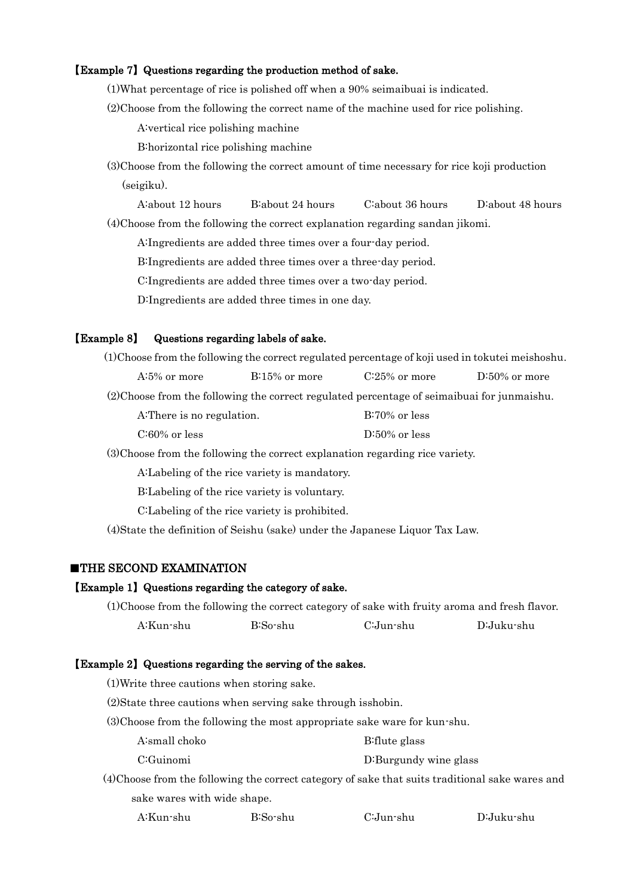## 【Example 7】Questions regarding the production method of sake.

(1)What percentage of rice is polished off when a 90% seimaibuai is indicated.

(2)Choose from the following the correct name of the machine used for rice polishing.

A:vertical rice polishing machine

B:horizontal rice polishing machine

- (3)Choose from the following the correct amount of time necessary for rice koji production (seigiku).
	- A:about 12 hours B:about 24 hours C:about 36 hours D:about 48 hours

(4)Choose from the following the correct explanation regarding sandan jikomi.

A:Ingredients are added three times over a four-day period.

B:Ingredients are added three times over a three-day period.

C:Ingredients are added three times over a two-day period.

D:Ingredients are added three times in one day.

### 【Example 8】 Questions regarding labels of sake.

| (1) Choose from the following the correct regulated percentage of koji used in tokutei meishoshu.                                                                                                                             |                  |                  |                  |
|-------------------------------------------------------------------------------------------------------------------------------------------------------------------------------------------------------------------------------|------------------|------------------|------------------|
| $A:5\%$ or more                                                                                                                                                                                                               | $B:15\%$ or more | $C:25\%$ or more | $D:50\%$ or more |
| (2) Choose from the following the correct regulated percentage of seimaibuai for junmaishu.                                                                                                                                   |                  |                  |                  |
| A: There is no regulation.                                                                                                                                                                                                    |                  | $B:70\%$ or less |                  |
| $C:60\%$ or less                                                                                                                                                                                                              |                  | $D:50\%$ or less |                  |
| $(0)$ $(1)$ $(1)$ $(1)$ $(1)$ $(1)$ $(1)$ $(1)$ $(1)$ $(1)$ $(1)$ $(1)$ $(1)$ $(1)$ $(1)$ $(1)$ $(1)$ $(1)$ $(1)$ $(1)$ $(1)$ $(1)$ $(1)$ $(1)$ $(1)$ $(1)$ $(1)$ $(1)$ $(1)$ $(1)$ $(1)$ $(1)$ $(1)$ $(1)$ $(1)$ $(1)$ $(1)$ |                  |                  |                  |

(3)Choose from the following the correct explanation regarding rice variety.

A:Labeling of the rice variety is mandatory.

B:Labeling of the rice variety is voluntary.

C:Labeling of the rice variety is prohibited.

(4)State the definition of Seishu (sake) under the Japanese Liquor Tax Law.

## ■THE SECOND EXAMINATION

# 【Example 1】Questions regarding the category of sake.

(1)Choose from the following the correct category of sake with fruity aroma and fresh flavor. A:Kun-shu B:So-shu C:Jun-shu D:Juku-shu

## 【Example 2】Questions regarding the serving of the sakes.

(1)Write three cautions when storing sake.

(2)State three cautions when serving sake through isshobin.

(3)Choose from the following the most appropriate sake ware for kun-shu.

- A:small choko B:flute glass
- C:Guinomi D:Burgundy wine glass

(4)Choose from the following the correct category of sake that suits traditional sake wares and sake wares with wide shape.

| B:So-shu<br>A:Kun-shu | C:Jun-shu | D:Juku-shu |
|-----------------------|-----------|------------|
|-----------------------|-----------|------------|